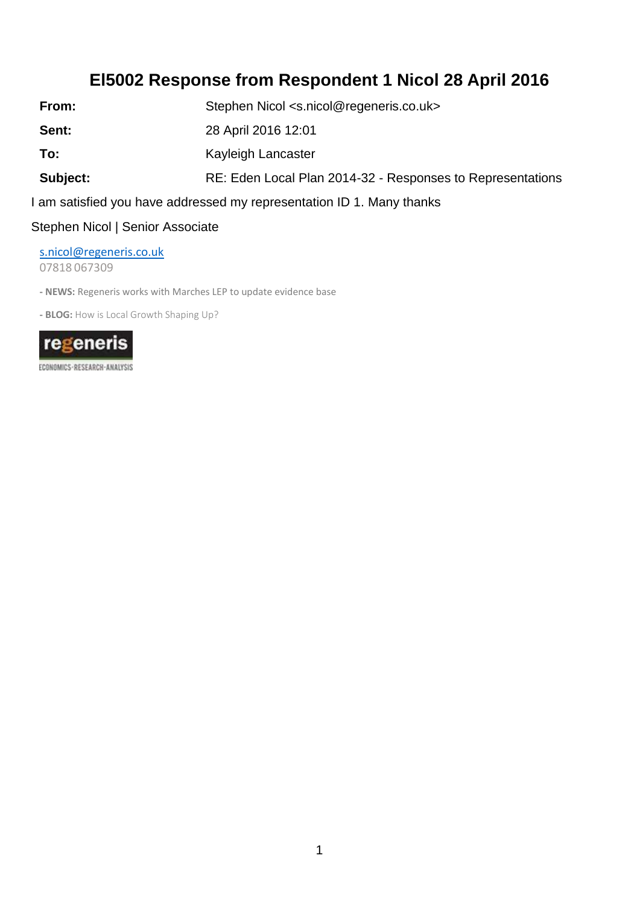## **El5002 Response from Respondent 1 Nicol 28 April 2016**

From: Stephen Nicol [<s.nicol@regeneris.co.uk>](mailto:s.nicol@regeneris.co.uk)

**Sent:** 28 April 2016 12:01

**To:** Kayleigh Lancaster

Subject: RE: Eden Local Plan 2014-32 - Responses to Representations

I am satisfied you have addressed my representation ID 1. Many thanks

Stephen Nicol | Senior Associate

[s.nicol@regeneris.co.uk](mailto:s.nicol@regeneris.co.uk)

07818 067309

**- NEWS:** Regeneris works with Marches LEP to update evidence base

**- BLOG:** How is Local Growth Shaping Up?



ECONOMICS - RESEARCH-ANALYSIS